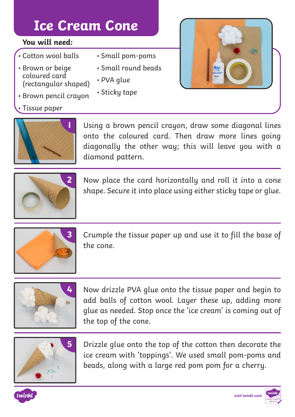## **Ice Cream Cone**

#### **You will need:**

- Cotton wool balls
- Brown or beige coloured card (rectangular shaped)
- Brown pencil crayon
- Tissue paper



• Small pom-poms

- Small round beads
- PVA glue
- Sticky tape



**1** Using a brown pencil crayon, draw some diagonal lines onto the coloured card. Then draw more lines going diagonally the other way; this will leave you with a diamond pattern.



**2** Now place the card horizontally and roll it into a cone shape. Secure it into place using either sticky tape or glue.



**3** Crumple the tissue paper up and use it to fill the base of the cone.



**4** Now drizzle PVA glue onto the tissue paper and begin to add balls of cotton wool. Layer these up, adding more glue as needed. Stop once the 'ice cream' is coming out of the top of the cone.



**5** Drizzle glue onto the top of the cotton then decorate the ice cream with 'toppings'. We used small pom-poms and beads, along with a large red pom pom for a cherry.



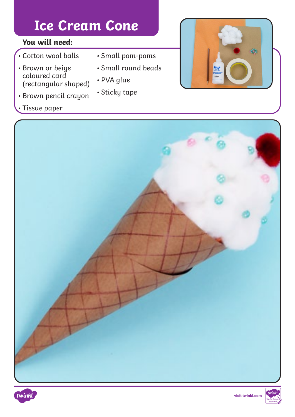## **Ice Cream Cone**

#### **You will need:**

- Cotton wool balls
- Brown or beige coloured card (rectangular shaped)
- Brown pencil crayon

### • Tissue paper

#### • Small pom-poms

- Small round beads
- PVA glue
- Sticky tape







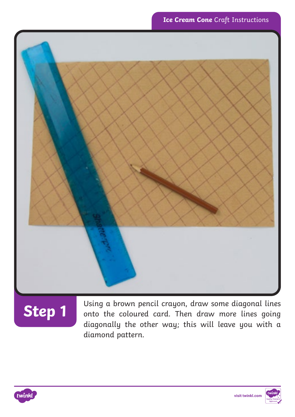

# **Step 1**

Using a brown pencil crayon, draw some diagonal lines onto the coloured card. Then draw more lines going diagonally the other way; this will leave you with a diamond pattern.



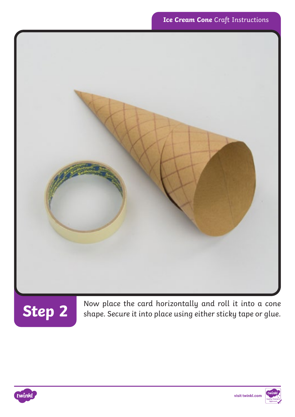



**Step 2** Now place the card horizontally and roll it into a cone shape. Secure it into place using either sticky tape or glue.



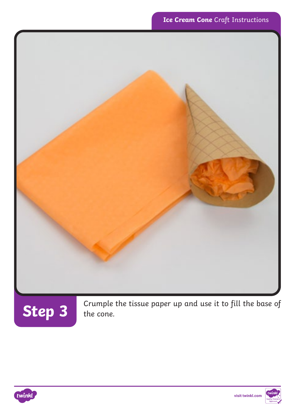



Step 3<sup>crumple the tissue paper up and use it to fill the base of the cone.</sup>



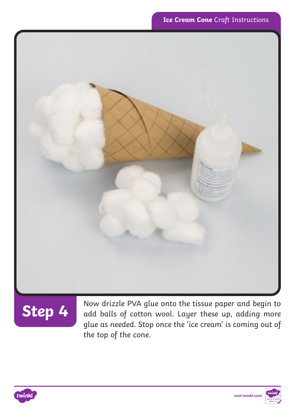



Step 4 Now drizzle PVA glue onto the tissue paper and begin to<br>Step 4 add balls of cotton wool. Layer these up, adding more glue as needed. Stop once the 'ice cream' is coming out of the top of the cone.

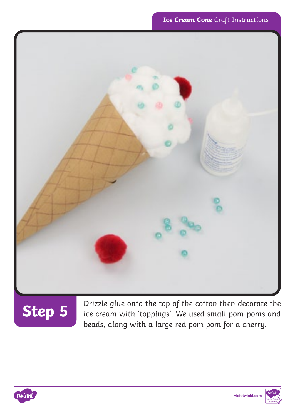

# **Step 5**

Drizzle glue onto the top of the cotton then decorate the ice cream with 'toppings'. We used small pom-poms and beads, along with a large red pom pom for a cherry.